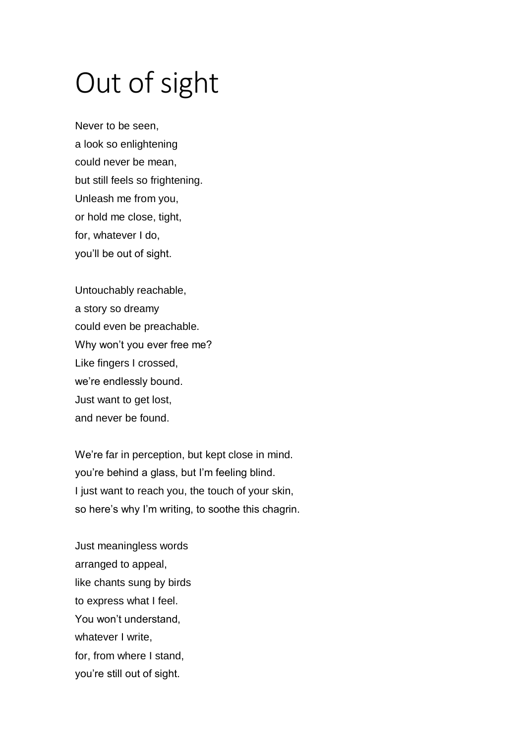## Out of sight

Never to be seen, a look so enlightening could never be mean, but still feels so frightening. Unleash me from you, or hold me close, tight, for, whatever I do, you'll be out of sight.

Untouchably reachable, a story so dreamy could even be preachable. Why won't you ever free me? Like fingers I crossed, we're endlessly bound. Just want to get lost, and never be found.

We're far in perception, but kept close in mind. you're behind a glass, but I'm feeling blind. I just want to reach you, the touch of your skin, so here's why I'm writing, to soothe this chagrin.

Just meaningless words arranged to appeal, like chants sung by birds to express what I feel. You won't understand, whatever I write. for, from where I stand, you're still out of sight.